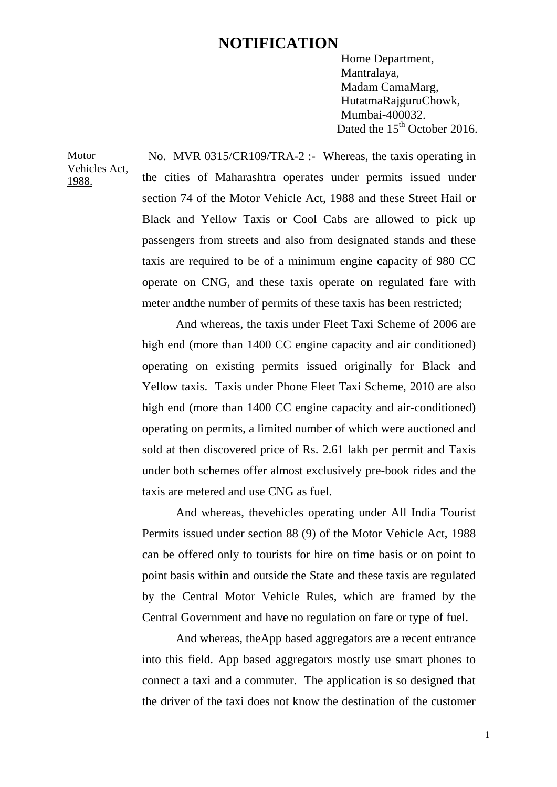## **NOTIFICATION**

Home Department, Mantralaya, Madam CamaMarg, HutatmaRajguruChowk, Mumbai-400032. Dated the 15<sup>th</sup> October 2016.

Motor Vehicles Act, 1988.

No. MVR 0315/CR109/TRA-2 :- Whereas, the taxis operating in the cities of Maharashtra operates under permits issued under section 74 of the Motor Vehicle Act, 1988 and these Street Hail or Black and Yellow Taxis or Cool Cabs are allowed to pick up passengers from streets and also from designated stands and these taxis are required to be of a minimum engine capacity of 980 CC operate on CNG, and these taxis operate on regulated fare with meter andthe number of permits of these taxis has been restricted;

And whereas, the taxis under Fleet Taxi Scheme of 2006 are high end (more than 1400 CC engine capacity and air conditioned) operating on existing permits issued originally for Black and Yellow taxis. Taxis under Phone Fleet Taxi Scheme, 2010 are also high end (more than 1400 CC engine capacity and air-conditioned) operating on permits, a limited number of which were auctioned and sold at then discovered price of Rs. 2.61 lakh per permit and Taxis under both schemes offer almost exclusively pre-book rides and the taxis are metered and use CNG as fuel.

And whereas, thevehicles operating under All India Tourist Permits issued under section 88 (9) of the Motor Vehicle Act, 1988 can be offered only to tourists for hire on time basis or on point to point basis within and outside the State and these taxis are regulated by the Central Motor Vehicle Rules, which are framed by the Central Government and have no regulation on fare or type of fuel.

And whereas, theApp based aggregators are a recent entrance into this field. App based aggregators mostly use smart phones to connect a taxi and a commuter. The application is so designed that the driver of the taxi does not know the destination of the customer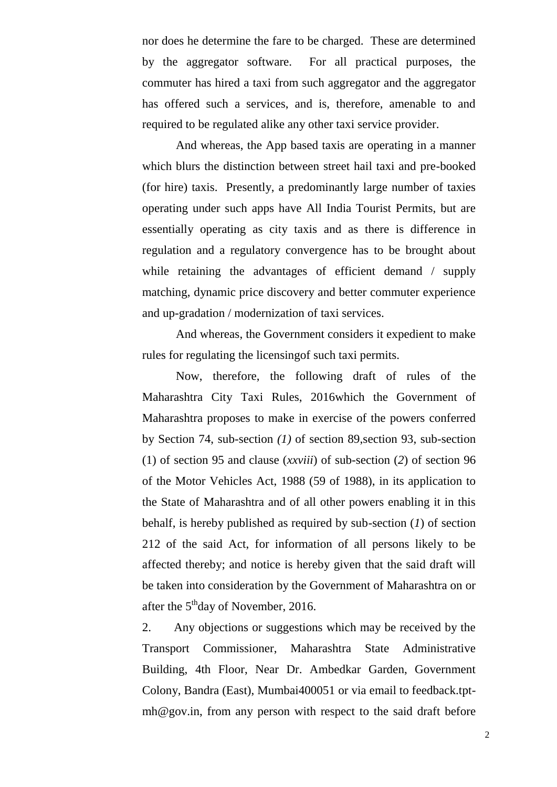nor does he determine the fare to be charged. These are determined by the aggregator software. For all practical purposes, the commuter has hired a taxi from such aggregator and the aggregator has offered such a services, and is, therefore, amenable to and required to be regulated alike any other taxi service provider.

And whereas, the App based taxis are operating in a manner which blurs the distinction between street hail taxi and pre-booked (for hire) taxis. Presently, a predominantly large number of taxies operating under such apps have All India Tourist Permits, but are essentially operating as city taxis and as there is difference in regulation and a regulatory convergence has to be brought about while retaining the advantages of efficient demand / supply matching, dynamic price discovery and better commuter experience and up-gradation / modernization of taxi services.

And whereas, the Government considers it expedient to make rules for regulating the licensingof such taxi permits.

Now, therefore, the following draft of rules of the Maharashtra City Taxi Rules, 2016which the Government of Maharashtra proposes to make in exercise of the powers conferred by Section 74, sub-section *(1)* of section 89,section 93, sub-section (1) of section 95 and clause (*xxviii*) of sub-section (*2*) of section 96 of the Motor Vehicles Act, 1988 (59 of 1988), in its application to the State of Maharashtra and of all other powers enabling it in this behalf, is hereby published as required by sub-section (*1*) of section 212 of the said Act, for information of all persons likely to be affected thereby; and notice is hereby given that the said draft will be taken into consideration by the Government of Maharashtra on or after the  $5<sup>th</sup>$ day of November, 2016.

2. Any objections or suggestions which may be received by the Transport Commissioner, Maharashtra State Administrative Building, 4th Floor, Near Dr. Ambedkar Garden, Government Colony, Bandra (East), Mumbai400051 or via email to feedback.tptmh@gov.in, from any person with respect to the said draft before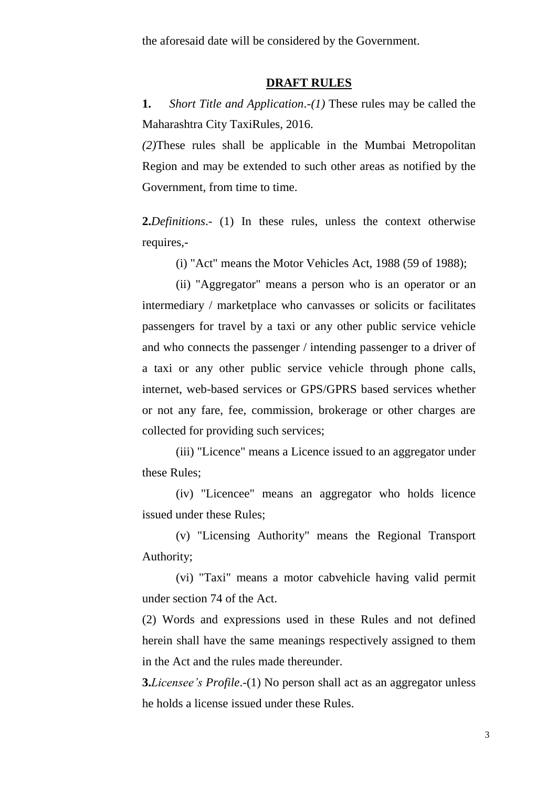the aforesaid date will be considered by the Government.

## **DRAFT RULES**

**1.** *Short Title and Application*.-*(1)* These rules may be called the Maharashtra City TaxiRules, 2016.

*(2)*These rules shall be applicable in the Mumbai Metropolitan Region and may be extended to such other areas as notified by the Government, from time to time.

**2.***Definitions*.- (1) In these rules, unless the context otherwise requires,-

(i) "Act" means the Motor Vehicles Act, 1988 (59 of 1988);

(ii) "Aggregator" means a person who is an operator or an intermediary / marketplace who canvasses or solicits or facilitates passengers for travel by a taxi or any other public service vehicle and who connects the passenger / intending passenger to a driver of a taxi or any other public service vehicle through phone calls, internet, web-based services or GPS/GPRS based services whether or not any fare, fee, commission, brokerage or other charges are collected for providing such services;

(iii) "Licence" means a Licence issued to an aggregator under these Rules;

(iv) "Licencee" means an aggregator who holds licence issued under these Rules;

(v) "Licensing Authority" means the Regional Transport Authority;

(vi) "Taxi" means a motor cabvehicle having valid permit under section 74 of the Act.

(2) Words and expressions used in these Rules and not defined herein shall have the same meanings respectively assigned to them in the Act and the rules made thereunder.

**3.***Licensee's Profile*.-(1) No person shall act as an aggregator unless he holds a license issued under these Rules.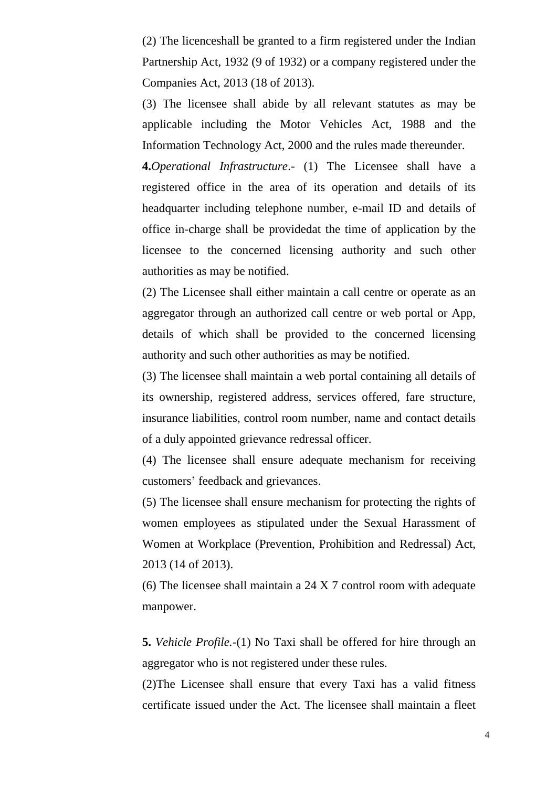(2) The licenceshall be granted to a firm registered under the Indian Partnership Act, 1932 (9 of 1932) or a company registered under the Companies Act, 2013 (18 of 2013).

(3) The licensee shall abide by all relevant statutes as may be applicable including the Motor Vehicles Act, 1988 and the Information Technology Act, 2000 and the rules made thereunder.

**4.***Operational Infrastructure*.- (1) The Licensee shall have a registered office in the area of its operation and details of its headquarter including telephone number, e-mail ID and details of office in-charge shall be providedat the time of application by the licensee to the concerned licensing authority and such other authorities as may be notified.

(2) The Licensee shall either maintain a call centre or operate as an aggregator through an authorized call centre or web portal or App, details of which shall be provided to the concerned licensing authority and such other authorities as may be notified.

(3) The licensee shall maintain a web portal containing all details of its ownership, registered address, services offered, fare structure, insurance liabilities, control room number, name and contact details of a duly appointed grievance redressal officer.

(4) The licensee shall ensure adequate mechanism for receiving customers' feedback and grievances.

(5) The licensee shall ensure mechanism for protecting the rights of women employees as stipulated under the Sexual Harassment of Women at Workplace (Prevention, Prohibition and Redressal) Act, 2013 (14 of 2013).

(6) The licensee shall maintain a 24 X 7 control room with adequate manpower.

**5.** *Vehicle Profile.-*(1) No Taxi shall be offered for hire through an aggregator who is not registered under these rules.

(2)The Licensee shall ensure that every Taxi has a valid fitness certificate issued under the Act. The licensee shall maintain a fleet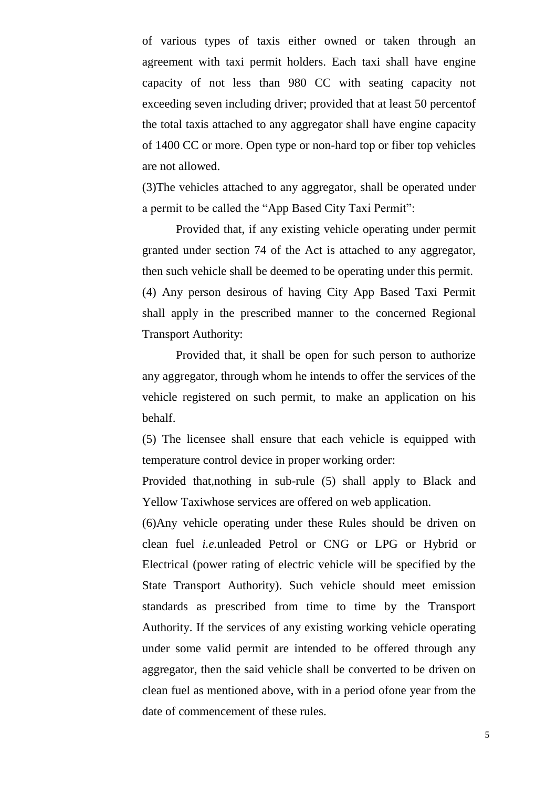of various types of taxis either owned or taken through an agreement with taxi permit holders. Each taxi shall have engine capacity of not less than 980 CC with seating capacity not exceeding seven including driver; provided that at least 50 percentof the total taxis attached to any aggregator shall have engine capacity of 1400 CC or more. Open type or non-hard top or fiber top vehicles are not allowed.

(3)The vehicles attached to any aggregator, shall be operated under a permit to be called the "App Based City Taxi Permit":

Provided that, if any existing vehicle operating under permit granted under section 74 of the Act is attached to any aggregator, then such vehicle shall be deemed to be operating under this permit. (4) Any person desirous of having City App Based Taxi Permit shall apply in the prescribed manner to the concerned Regional Transport Authority:

Provided that, it shall be open for such person to authorize any aggregator, through whom he intends to offer the services of the vehicle registered on such permit, to make an application on his behalf.

(5) The licensee shall ensure that each vehicle is equipped with temperature control device in proper working order:

Provided that,nothing in sub-rule (5) shall apply to Black and Yellow Taxiwhose services are offered on web application.

(6)Any vehicle operating under these Rules should be driven on clean fuel *i.e.*unleaded Petrol or CNG or LPG or Hybrid or Electrical (power rating of electric vehicle will be specified by the State Transport Authority). Such vehicle should meet emission standards as prescribed from time to time by the Transport Authority. If the services of any existing working vehicle operating under some valid permit are intended to be offered through any aggregator, then the said vehicle shall be converted to be driven on clean fuel as mentioned above, with in a period ofone year from the date of commencement of these rules.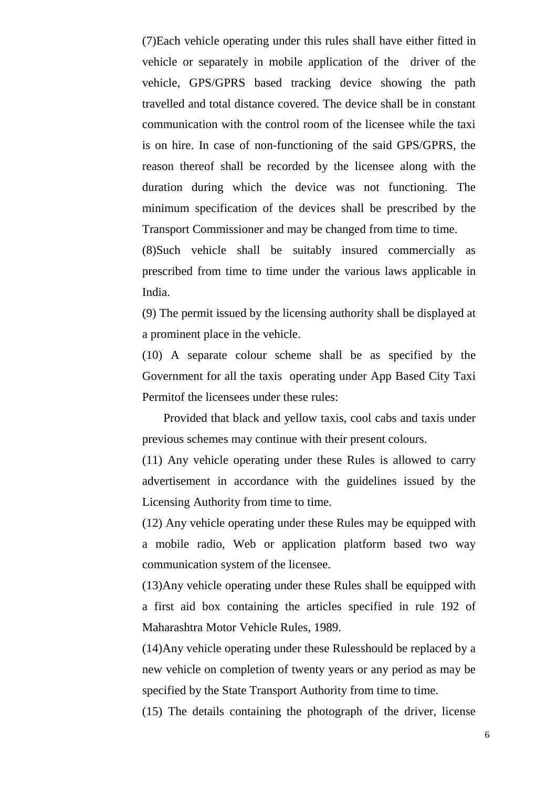(7)Each vehicle operating under this rules shall have either fitted in vehicle or separately in mobile application of the driver of the vehicle, GPS/GPRS based tracking device showing the path travelled and total distance covered. The device shall be in constant communication with the control room of the licensee while the taxi is on hire. In case of non-functioning of the said GPS/GPRS, the reason thereof shall be recorded by the licensee along with the duration during which the device was not functioning. The minimum specification of the devices shall be prescribed by the Transport Commissioner and may be changed from time to time.

(8)Such vehicle shall be suitably insured commercially as prescribed from time to time under the various laws applicable in India.

(9) The permit issued by the licensing authority shall be displayed at a prominent place in the vehicle.

(10) A separate colour scheme shall be as specified by the Government for all the taxis operating under App Based City Taxi Permitof the licensees under these rules:

 Provided that black and yellow taxis, cool cabs and taxis under previous schemes may continue with their present colours.

(11) Any vehicle operating under these Rules is allowed to carry advertisement in accordance with the guidelines issued by the Licensing Authority from time to time.

(12) Any vehicle operating under these Rules may be equipped with a mobile radio, Web or application platform based two way communication system of the licensee.

(13)Any vehicle operating under these Rules shall be equipped with a first aid box containing the articles specified in rule 192 of Maharashtra Motor Vehicle Rules, 1989.

(14)Any vehicle operating under these Rulesshould be replaced by a new vehicle on completion of twenty years or any period as may be specified by the State Transport Authority from time to time.

(15) The details containing the photograph of the driver, license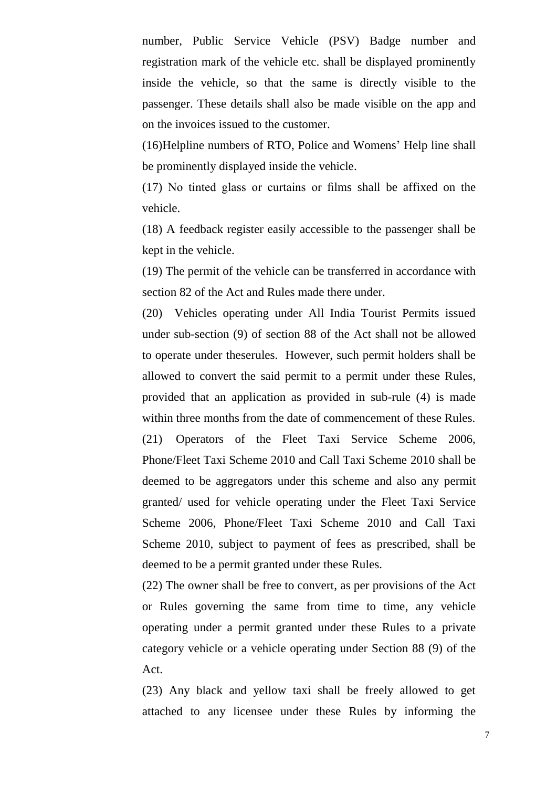number, Public Service Vehicle (PSV) Badge number and registration mark of the vehicle etc. shall be displayed prominently inside the vehicle, so that the same is directly visible to the passenger. These details shall also be made visible on the app and on the invoices issued to the customer.

(16)Helpline numbers of RTO, Police and Womens' Help line shall be prominently displayed inside the vehicle.

(17) No tinted glass or curtains or films shall be affixed on the vehicle.

(18) A feedback register easily accessible to the passenger shall be kept in the vehicle.

(19) The permit of the vehicle can be transferred in accordance with section 82 of the Act and Rules made there under.

(20) Vehicles operating under All India Tourist Permits issued under sub-section (9) of section 88 of the Act shall not be allowed to operate under theserules. However, such permit holders shall be allowed to convert the said permit to a permit under these Rules, provided that an application as provided in sub-rule (4) is made within three months from the date of commencement of these Rules. (21) Operators of the Fleet Taxi Service Scheme 2006, Phone/Fleet Taxi Scheme 2010 and Call Taxi Scheme 2010 shall be deemed to be aggregators under this scheme and also any permit granted/ used for vehicle operating under the Fleet Taxi Service Scheme 2006, Phone/Fleet Taxi Scheme 2010 and Call Taxi Scheme 2010, subject to payment of fees as prescribed, shall be deemed to be a permit granted under these Rules.

(22) The owner shall be free to convert, as per provisions of the Act or Rules governing the same from time to time, any vehicle operating under a permit granted under these Rules to a private category vehicle or a vehicle operating under Section 88 (9) of the Act.

(23) Any black and yellow taxi shall be freely allowed to get attached to any licensee under these Rules by informing the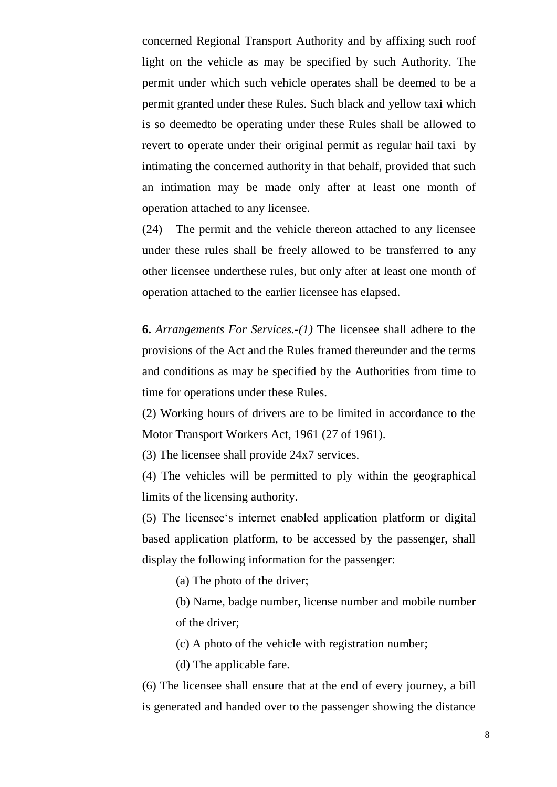concerned Regional Transport Authority and by affixing such roof light on the vehicle as may be specified by such Authority. The permit under which such vehicle operates shall be deemed to be a permit granted under these Rules. Such black and yellow taxi which is so deemedto be operating under these Rules shall be allowed to revert to operate under their original permit as regular hail taxi by intimating the concerned authority in that behalf, provided that such an intimation may be made only after at least one month of operation attached to any licensee.

(24) The permit and the vehicle thereon attached to any licensee under these rules shall be freely allowed to be transferred to any other licensee underthese rules, but only after at least one month of operation attached to the earlier licensee has elapsed.

**6.** *Arrangements For Services.-(1)* The licensee shall adhere to the provisions of the Act and the Rules framed thereunder and the terms and conditions as may be specified by the Authorities from time to time for operations under these Rules.

(2) Working hours of drivers are to be limited in accordance to the Motor Transport Workers Act, 1961 (27 of 1961).

(3) The licensee shall provide 24x7 services.

(4) The vehicles will be permitted to ply within the geographical limits of the licensing authority.

(5) The licensee‗s internet enabled application platform or digital based application platform, to be accessed by the passenger, shall display the following information for the passenger:

(a) The photo of the driver;

(b) Name, badge number, license number and mobile number of the driver;

(c) A photo of the vehicle with registration number;

(d) The applicable fare.

(6) The licensee shall ensure that at the end of every journey, a bill is generated and handed over to the passenger showing the distance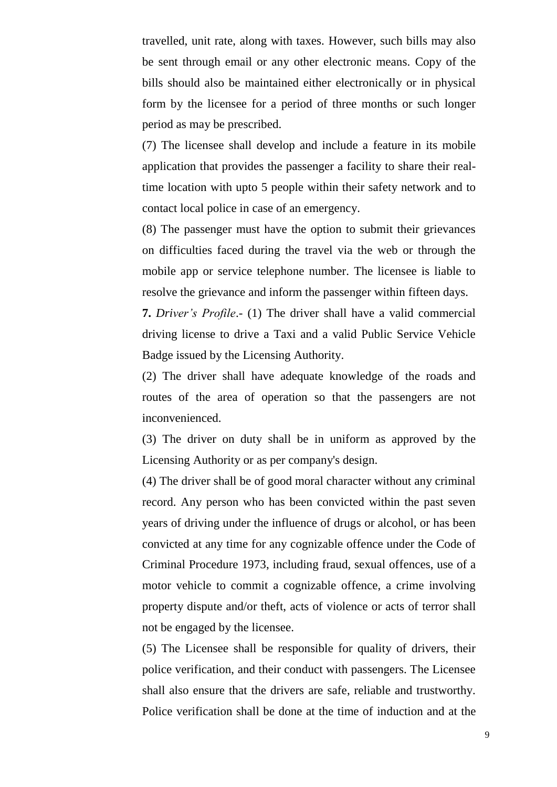travelled, unit rate, along with taxes. However, such bills may also be sent through email or any other electronic means. Copy of the bills should also be maintained either electronically or in physical form by the licensee for a period of three months or such longer period as may be prescribed.

(7) The licensee shall develop and include a feature in its mobile application that provides the passenger a facility to share their realtime location with upto 5 people within their safety network and to contact local police in case of an emergency.

(8) The passenger must have the option to submit their grievances on difficulties faced during the travel via the web or through the mobile app or service telephone number. The licensee is liable to resolve the grievance and inform the passenger within fifteen days.

**7.** *Driver's Profile*.- (1) The driver shall have a valid commercial driving license to drive a Taxi and a valid Public Service Vehicle Badge issued by the Licensing Authority.

(2) The driver shall have adequate knowledge of the roads and routes of the area of operation so that the passengers are not inconvenienced.

(3) The driver on duty shall be in uniform as approved by the Licensing Authority or as per company's design.

(4) The driver shall be of good moral character without any criminal record. Any person who has been convicted within the past seven years of driving under the influence of drugs or alcohol, or has been convicted at any time for any cognizable offence under the Code of Criminal Procedure 1973, including fraud, sexual offences, use of a motor vehicle to commit a cognizable offence, a crime involving property dispute and/or theft, acts of violence or acts of terror shall not be engaged by the licensee.

(5) The Licensee shall be responsible for quality of drivers, their police verification, and their conduct with passengers. The Licensee shall also ensure that the drivers are safe, reliable and trustworthy. Police verification shall be done at the time of induction and at the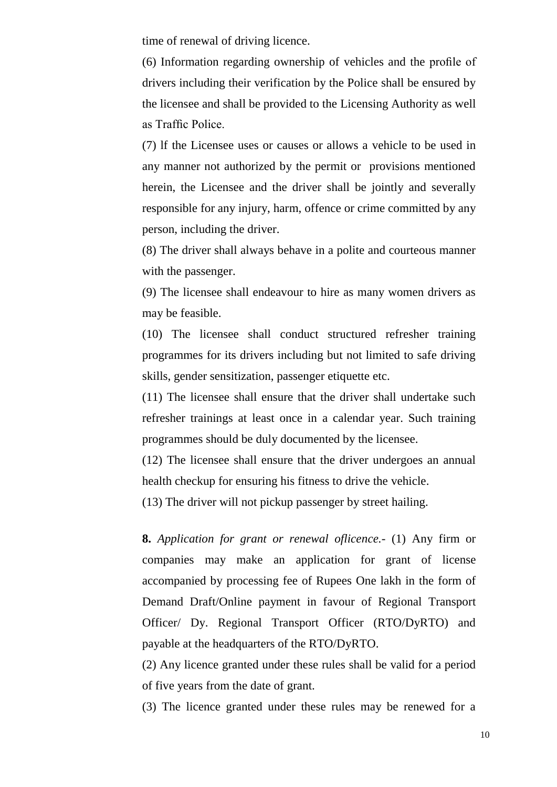time of renewal of driving licence.

(6) Information regarding ownership of vehicles and the profile of drivers including their verification by the Police shall be ensured by the licensee and shall be provided to the Licensing Authority as well as Traffic Police.

(7) lf the Licensee uses or causes or allows a vehicle to be used in any manner not authorized by the permit or provisions mentioned herein, the Licensee and the driver shall be jointly and severally responsible for any injury, harm, offence or crime committed by any person, including the driver.

(8) The driver shall always behave in a polite and courteous manner with the passenger.

(9) The licensee shall endeavour to hire as many women drivers as may be feasible.

(10) The licensee shall conduct structured refresher training programmes for its drivers including but not limited to safe driving skills, gender sensitization, passenger etiquette etc.

(11) The licensee shall ensure that the driver shall undertake such refresher trainings at least once in a calendar year. Such training programmes should be duly documented by the licensee.

(12) The licensee shall ensure that the driver undergoes an annual health checkup for ensuring his fitness to drive the vehicle.

(13) The driver will not pickup passenger by street hailing.

**8.** *Application for grant or renewal oflicence.-* (1) Any firm or companies may make an application for grant of license accompanied by processing fee of Rupees One lakh in the form of Demand Draft/Online payment in favour of Regional Transport Officer/ Dy. Regional Transport Officer (RTO/DyRTO) and payable at the headquarters of the RTO/DyRTO.

(2) Any licence granted under these rules shall be valid for a period of five years from the date of grant.

(3) The licence granted under these rules may be renewed for a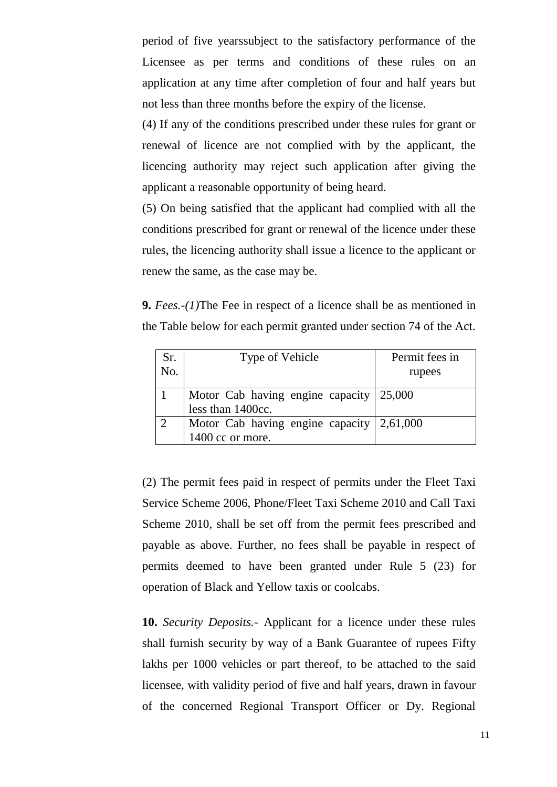period of five yearssubject to the satisfactory performance of the Licensee as per terms and conditions of these rules on an application at any time after completion of four and half years but not less than three months before the expiry of the license.

(4) If any of the conditions prescribed under these rules for grant or renewal of licence are not complied with by the applicant, the licencing authority may reject such application after giving the applicant a reasonable opportunity of being heard.

(5) On being satisfied that the applicant had complied with all the conditions prescribed for grant or renewal of the licence under these rules, the licencing authority shall issue a licence to the applicant or renew the same, as the case may be.

**9.** *Fees.-(1)*The Fee in respect of a licence shall be as mentioned in the Table below for each permit granted under section 74 of the Act.

| Sr. | Type of Vehicle                                           | Permit fees in |
|-----|-----------------------------------------------------------|----------------|
| No. |                                                           | rupees         |
|     | Motor Cab having engine capacity   25,000                 |                |
|     | less than 1400cc.                                         |                |
|     | Motor Cab having engine capacity $\vert 2,61,000 \rangle$ |                |
|     | 1400 cc or more.                                          |                |

(2) The permit fees paid in respect of permits under the Fleet Taxi Service Scheme 2006, Phone/Fleet Taxi Scheme 2010 and Call Taxi Scheme 2010, shall be set off from the permit fees prescribed and payable as above. Further, no fees shall be payable in respect of permits deemed to have been granted under Rule 5 (23) for operation of Black and Yellow taxis or coolcabs.

**10.** *Security Deposits.-* Applicant for a licence under these rules shall furnish security by way of a Bank Guarantee of rupees Fifty lakhs per 1000 vehicles or part thereof, to be attached to the said licensee, with validity period of five and half years, drawn in favour of the concerned Regional Transport Officer or Dy. Regional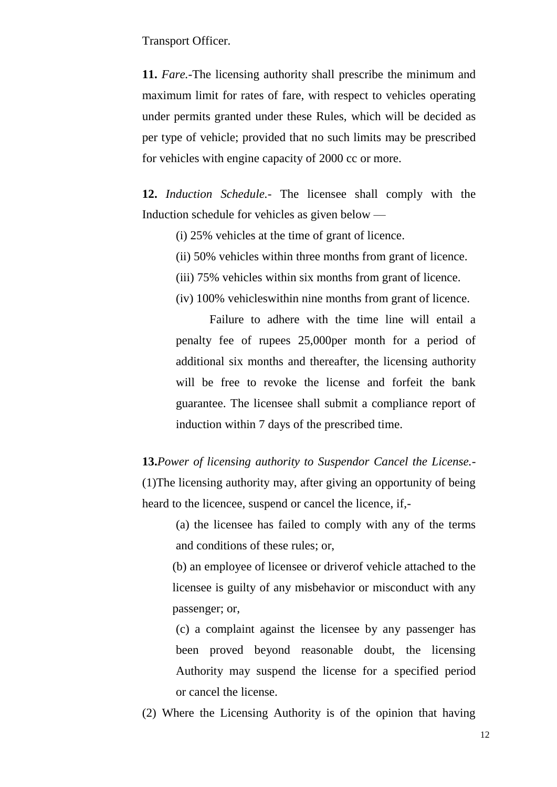Transport Officer.

**11.** *Fare.-*The licensing authority shall prescribe the minimum and maximum limit for rates of fare, with respect to vehicles operating under permits granted under these Rules, which will be decided as per type of vehicle; provided that no such limits may be prescribed for vehicles with engine capacity of 2000 cc or more.

**12.** *Induction Schedule.-* The licensee shall comply with the Induction schedule for vehicles as given below —

(i) 25% vehicles at the time of grant of licence.

- (ii) 50% vehicles within three months from grant of licence.
- (iii) 75% vehicles within six months from grant of licence.
- (iv) 100% vehicleswithin nine months from grant of licence.

Failure to adhere with the time line will entail a penalty fee of rupees 25,000per month for a period of additional six months and thereafter, the licensing authority will be free to revoke the license and forfeit the bank guarantee. The licensee shall submit a compliance report of induction within 7 days of the prescribed time.

**13.***Power of licensing authority to Suspendor Cancel the License.-* (1)The licensing authority may, after giving an opportunity of being heard to the licencee, suspend or cancel the licence, if,-

(a) the licensee has failed to comply with any of the terms and conditions of these rules; or,

(b) an employee of licensee or driverof vehicle attached to the licensee is guilty of any misbehavior or misconduct with any passenger; or,

(c) a complaint against the licensee by any passenger has been proved beyond reasonable doubt, the licensing Authority may suspend the license for a specified period or cancel the license.

(2) Where the Licensing Authority is of the opinion that having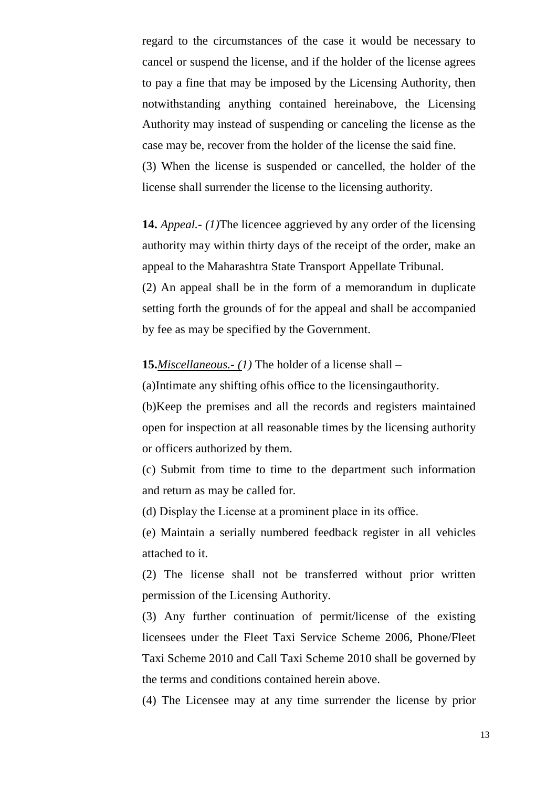regard to the circumstances of the case it would be necessary to cancel or suspend the license, and if the holder of the license agrees to pay a fine that may be imposed by the Licensing Authority, then notwithstanding anything contained hereinabove, the Licensing Authority may instead of suspending or canceling the license as the case may be, recover from the holder of the license the said fine. (3) When the license is suspended or cancelled, the holder of the license shall surrender the license to the licensing authority.

**14.** *Appeal.- (1)*The licencee aggrieved by any order of the licensing authority may within thirty days of the receipt of the order, make an appeal to the Maharashtra State Transport Appellate Tribunal.

(2) An appeal shall be in the form of a memorandum in duplicate setting forth the grounds of for the appeal and shall be accompanied by fee as may be specified by the Government.

## **15.***Miscellaneous.- (1)* The holder of a license shall –

(a)Intimate any shifting ofhis office to the licensingauthority.

(b)Keep the premises and all the records and registers maintained open for inspection at all reasonable times by the licensing authority or officers authorized by them.

(c) Submit from time to time to the department such information and return as may be called for.

(d) Display the License at a prominent place in its office.

(e) Maintain a serially numbered feedback register in all vehicles attached to it.

(2) The license shall not be transferred without prior written permission of the Licensing Authority.

(3) Any further continuation of permit/license of the existing licensees under the Fleet Taxi Service Scheme 2006, Phone/Fleet Taxi Scheme 2010 and Call Taxi Scheme 2010 shall be governed by the terms and conditions contained herein above.

(4) The Licensee may at any time surrender the license by prior